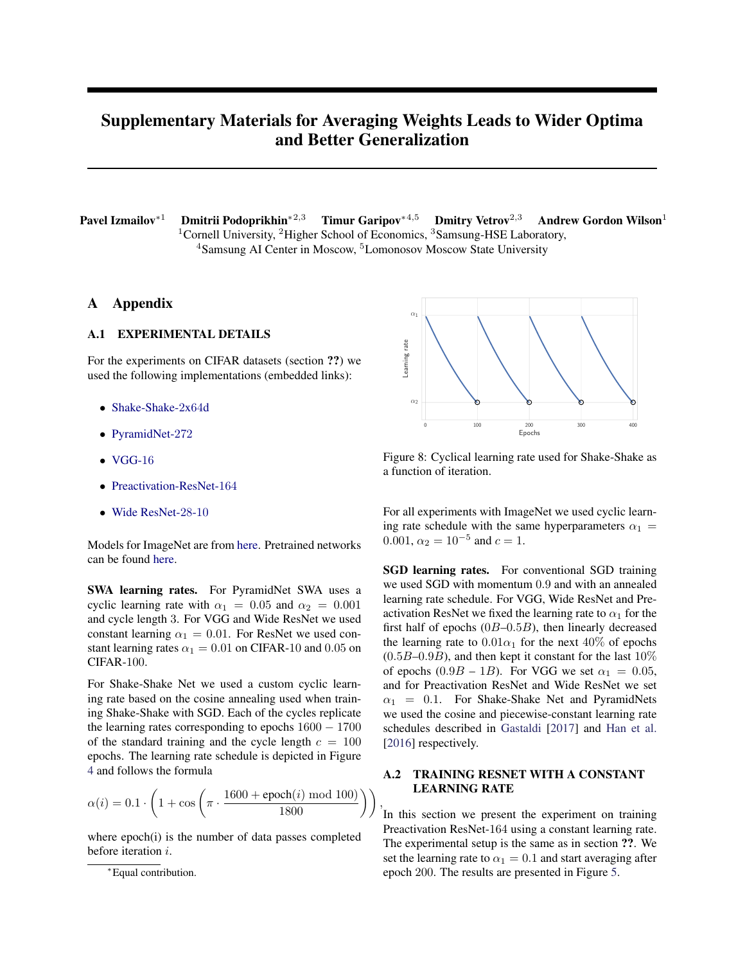# Supplementary Materials for Averaging Weights Leads to Wider Optima and Better Generalization

Pavel Izmailov<sup>∗1</sup> Dmitrii Podoprikhin<sup>∗2,3</sup> Timur Garipov<sup>∗4,5</sup> Dmitry Vetrov<sup>2,3</sup> Andrew Gordon Wilson<sup>1</sup> <sup>1</sup>Cornell University, <sup>2</sup>Higher School of Economics, <sup>3</sup>Samsung-HSE Laboratory, <sup>4</sup>Samsung AI Center in Moscow, <sup>5</sup>Lomonosov Moscow State University

### A Appendix

## A.1 EXPERIMENTAL DETAILS

For the experiments on CIFAR datasets (section ??) we used the following implementations (embedded links):

- [Shake-Shake-](https://github.com/hysts/pytorch_image_classification)2x64d
- [PyramidNet-](https://github.com/dyhan0920/PyramidNet-PyTorch)272
- $\bullet$  [VGG-](https://github.com/pytorch/vision/blob/master/torchvision/models/vgg.py)16
- [Preactivation-ResNet-](https://github.com/bearpaw/pytorch-classification/blob/master/models/cifar/preresnet.py)164
- [Wide ResNet-](https://github.com/meliketoy/wide-resnet.pytorch/blob/master/networks/wide_resnet.py)28-10

Models for ImageNet are from [here.](https://github.com/pytorch/vision/tree/master/torchvision) Pretrained networks can be found [here.](https://github.com/pytorch/pytorch/blob/master/torch/utils/model_zoo.py)

SWA learning rates. For PyramidNet SWA uses a cyclic learning rate with  $\alpha_1 = 0.05$  and  $\alpha_2 = 0.001$ and cycle length 3. For VGG and Wide ResNet we used constant learning  $\alpha_1 = 0.01$ . For ResNet we used constant learning rates  $\alpha_1 = 0.01$  on CIFAR-10 and 0.05 on CIFAR-100.

For Shake-Shake Net we used a custom cyclic learning rate based on the cosine annealing used when training Shake-Shake with SGD. Each of the cycles replicate the learning rates corresponding to epochs  $1600 - 1700$ of the standard training and the cycle length  $c = 100$ epochs. The learning rate schedule is depicted in Figure [4](#page-0-0) and follows the formula

$$
\alpha(i) = 0.1 \cdot \left(1 + \cos\left(\pi \cdot \frac{1600 + \text{epoch}(i) \bmod 100)}{1800}\right)\right),
$$

where epoch(i) is the number of data passes completed before iteration i.

<span id="page-0-0"></span>

Figure 8: Cyclical learning rate used for Shake-Shake as a function of iteration.

For all experiments with ImageNet we used cyclic learning rate schedule with the same hyperparameters  $\alpha_1$  = 0.001,  $\alpha_2 = 10^{-5}$  and  $c = 1$ .

SGD learning rates. For conventional SGD training we used SGD with momentum 0.9 and with an annealed learning rate schedule. For VGG, Wide ResNet and Preactivation ResNet we fixed the learning rate to  $\alpha_1$  for the first half of epochs  $(0B-0.5B)$ , then linearly decreased the learning rate to  $0.01\alpha_1$  for the next 40% of epochs  $(0.5B-0.9B)$ , and then kept it constant for the last  $10\%$ of epochs  $(0.9B - 1B)$ . For VGG we set  $\alpha_1 = 0.05$ , and for Preactivation ResNet and Wide ResNet we set  $\alpha_1$  = 0.1. For Shake-Shake Net and PyramidNets we used the cosine and piecewise-constant learning rate schedules described in [Gastaldi](#page-1-0) [\[2017\]](#page-1-0) and [Han et al.](#page-1-1) [\[2016\]](#page-1-1) respectively.

### A.2 TRAINING RESNET WITH A CONSTANT LEARNING RATE

In this section we present the experiment on training Preactivation ResNet-164 using a constant learning rate. The experimental setup is the same as in section ??. We set the learning rate to  $\alpha_1 = 0.1$  and start averaging after epoch 200. The results are presented in Figure [5.](#page-1-2)

<sup>∗</sup>Equal contribution.